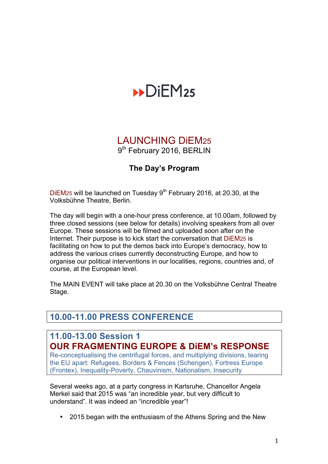# $\n **DiEM25**\n$

## LAUNCHING DiEM25 9<sup>th</sup> February 2016, BERLIN

#### **The Day's Program**

DiEM25 will be launched on Tuesday 9<sup>th</sup> February 2016, at 20.30, at the Volksbühne Theatre, Berlin.

The day will begin with a one-hour press conference, at 10.00am, followed by three closed sessions (see below for details) involving speakers from all over Europe. These sessions will be filmed and uploaded soon after on the Internet. Their purpose is to kick start the conversation that DiEM25 is facilitating on how to put the demos back into Europe's democracy, how to address the various crises currently deconstructing Europe, and how to organise our political interventions in our localities, regions, countries and, of course, at the European level.

The MAIN EVENT will take place at 20.30 on the Volksbühne Central Theatre Stage.

## **10.00-11.00 PRESS CONFERENCE**

#### **11.00-13.00 Session 1 OUR FRAGMENTING EUROPE & DiEM's RESPONSE**

Re-conceptualising the centrifugal forces, and multiplying divisions, tearing the EU apart: Refugees, Borders & Fences (Schengen), Fortress Europe (Frontex), Inequality-Poverty, Chauvinism, Nationalism, Insecurity

Several weeks ago, at a party congress in Karlsruhe, Chancellor Angela Merkel said that 2015 was "an incredible year, but very difficult to understand". It was indeed an "incredible year"!

• 2015 began with the enthusiasm of the Athens Spring and the New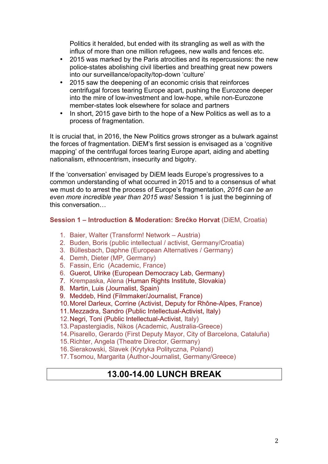Politics it heralded, but ended with its strangling as well as with the influx of more than one million refugees, new walls and fences etc.

- 2015 was marked by the Paris atrocities and its repercussions: the new police-states abolishing civil liberties and breathing great new powers into our surveillance/opacity/top-down 'culture'
- 2015 saw the deepening of an economic crisis that reinforces centrifugal forces tearing Europe apart, pushing the Eurozone deeper into the mire of low-investment and low-hope, while non-Eurozone member-states look elsewhere for solace and partners
- In short, 2015 gave birth to the hope of a New Politics as well as to a process of fragmentation.

It is crucial that, in 2016, the New Politics grows stronger as a bulwark against the forces of fragmentation. DiEM's first session is envisaged as a 'cognitive mapping' of the centrifugal forces tearing Europe apart, aiding and abetting nationalism, ethnocentrism, insecurity and bigotry.

If the 'conversation' envisaged by DiEM leads Europe's progressives to a common understanding of what occurred in 2015 and to a consensus of what we must do to arrest the process of Europe's fragmentation, *2016 can be an even more incredible year than 2015 was!* Session 1 is just the beginning of this conversation…

#### **Session 1 – Introduction & Moderation: Srećko Horvat** (DiEM, Croatia)

- 1. Baier, Walter (Transform! Network Austria)
- 2. Buden, Boris (public intellectual / activist, Germany/Croatia)
- 3. Büllesbach, Daphne (European Alternatives / Germany)
- 4. Demh, Dieter (MP, Germany)
- 5. Fassin, Eric (Academic, France)
- 6. Guerot, Ulrike (European Democracy Lab, Germany)
- 7. Krempaska, Alena (Human Rights Institute, Slovakia)
- 8. Martin, Luis (Journalist, Spain)
- 9. Meddeb, Hind (Filmmaker/Journalist, France)
- 10.Morel Darleux, Corrine (Activist, Deputy for Rhône-Alpes, France)
- 11.Mezzadra, Sandro (Public Intellectual-Activist, Italy)
- 12.Negri, Toni (Public Intellectual-Activist, Italy)
- 13.Papastergiadis, Nikos (Academic, Australia-Greece)
- 14.Pisarello, Gerardo (First Deputy Mayor, City of Barcelona, Cataluña)
- 15.Richter, Angela (Theatre Director, Germany)
- 16.Sierakowski, Slavek (Krytyka Polityczna, Poland)
- 17.Tsomou, Margarita (Author-Journalist, Germany/Greece)

## **13.00-14.00 LUNCH BREAK**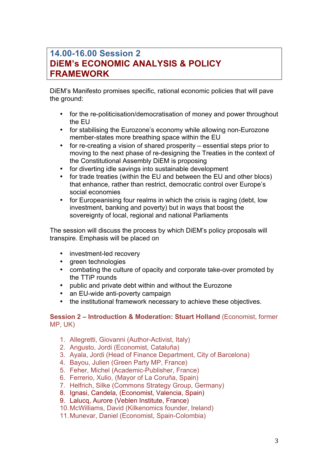## **14.00-16.00 Session 2 DiEM's ECONOMIC ANALYSIS & POLICY FRAMEWORK**

DiEM's Manifesto promises specific, rational economic policies that will pave the ground:

- for the re-politicisation/democratisation of money and power throughout the EU
- for stabilising the Eurozone's economy while allowing non-Eurozone member-states more breathing space within the EU
- for re-creating a vision of shared prosperity essential steps prior to moving to the next phase of re-designing the Treaties in the context of the Constitutional Assembly DiEM is proposing
- for diverting idle savings into sustainable development
- for trade treaties (within the EU and between the EU and other blocs) that enhance, rather than restrict, democratic control over Europe's social economies
- for Europeanising four realms in which the crisis is raging (debt, low investment, banking and poverty) but in ways that boost the sovereignty of local, regional and national Parliaments

The session will discuss the process by which DiEM's policy proposals will transpire. Emphasis will be placed on

- investment-led recovery
- green technologies
- combating the culture of opacity and corporate take-over promoted by the TTiP rounds
- public and private debt within and without the Eurozone
- an EU-wide anti-poverty campaign
- the institutional framework necessary to achieve these objectives.

#### **Session 2 – Introduction & Moderation: Stuart Holland** (Economist, former MP, UK)

- 1. Allegretti, Giovanni (Author-Activist, Italy)
- 2. Angusto, Jordi (Economist, Cataluña)
- 3. Ayala, Jordi (Head of Finance Department, City of Barcelona)
- 4. Bayou, Julien (Green Party MP, France)
- 5. Feher, Michel (Academic-Publisher, France)
- 6. Ferrerio, Xulio, (Mayor of La Coruña, Spain)
- 7. Helfrich, Silke (Commons Strategy Group, Germany)
- 8. Ignasi, Candela, (Economist, Valencia, Spain)
- 9. Lalucq, Aurore (Veblen Institute, France)
- 10.McWilliams, David (Kilkenomics founder, Ireland)
- 11.Munevar, Daniel (Economist, Spain-Colombia)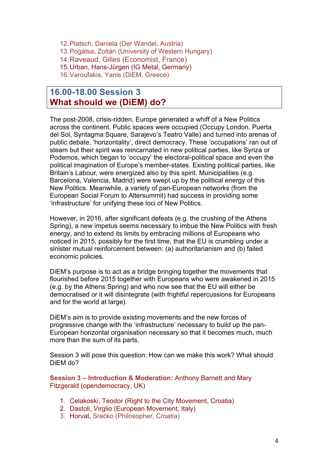12.Platsch, Daniela (Der Wandel, Austria) 13.Pogátsa, Zoltán (University of Western Hungary) 14.Raveaud, Gilles (Economist, France)

15.Urban, Hans-Jürgen (IG Metal, Germany)

16.Varoufakis, Yanis (DiEM, Greece)

#### **16.00-18.00 Session 3 What should we (DiEM) do?**

The post-2008, crisis-ridden, Europe generated a whiff of a New Politics across the continent. Public spaces were occupied (Occupy London, Puerta del Sol, Syntagma Square, Sarajevo's Teatro Valle) and turned into arenas of public debate, 'horizontality', direct democracy. These 'occupations' ran out of steam but their spirit was reincarnated in new political parties, like Syriza or Podemos, which began to 'occupy' the electoral-political space and even the political imagination of Europe's member-states. Existing political parties, like Britain's Labour, were energized also by this spirit. Municipalities (e.g. Barcelona, Valencia, Madrid) were swept up by the political energy of this New Politics. Meanwhile, a variety of pan-European networks (from the European Social Forum to Altersummit) had success in providing some 'infrastructure' for unifying these loci of New Politics.

However, in 2016, after significant defeats (e.g. the crushing of the Athens Spring), a new impetus seems necessary to imbue the New Politics with fresh energy, and to extend its limits by embracing millions of Europeans who noticed in 2015, possibly for the first time, that the EU is crumbling under a sinister mutual reinforcement between: (a) authoritarianism and (b) failed economic policies.

DiEM's purpose is to act as a bridge bringing together the movements that flourished before 2015 together with Europeans who were awakened in 2015 (e.g. by the Athens Spring) and who now see that the EU will either be democratised or it will disintegrate (with frightful repercussions for Europeans and for the world at large).

DiEM's aim is to provide existing movements and the new forces of progressive change with the 'infrastructure' necessary to build up the pan-European horizontal organisation necessary so that it becomes much, much more than the sum of its parts.

Session 3 will pose this question: How can we make this work? What should DiEM do?

**Session 3 – Introduction & Moderation:** Anthony Barnett and Mary Fitzgerald (opendemocracy, UK)

- 1. Celakoski, Teodor (Right to the City Movement, Croatia)
- 2. Dastoli, Virglio (European Movement, Italy)
- 3. Horvat, Srećko (Philosopher, Croatia)